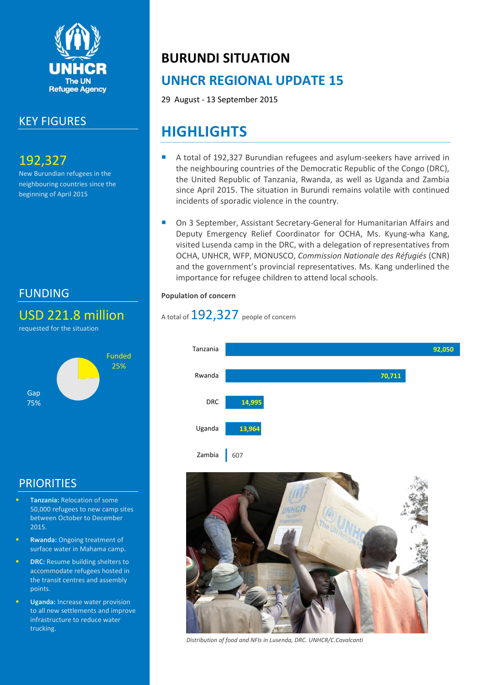

# KEY FIGURES

# 192,327

New Burundian refugees in the neighbouring countries since the beginning of April 2015

# FUNDING

# USD 221.8 million

requested for the situation



# **PRIORITIES**

- **Tanzania:** Relocation of some 50,000 refugees to new camp sites between October to December 2015.
- **Rwanda:** Ongoing treatment of surface water in Mahama camp.
- **DRC:** Resume building shelters to accommodate refugees hosted in the transit centres and assembly points.
- **Uganda:** Increase water provision to all new settlements and improve infrastructure to reduce water trucking.

# **BURUNDI SITUATION**

# **UNHCR REGIONAL UPDATE 15**

29 August - 13 September 2015

# **HIGHLIGHTS**

- A total of 192,327 Burundian refugees and asylum-seekers have arrived in the neighbouring countries of the Democratic Republic of the Congo (DRC), the United Republic of Tanzania, Rwanda, as well as Uganda and Zambia since April 2015. The situation in Burundi remains volatile with continued incidents of sporadic violence in the country.
- On 3 September, Assistant Secretary-General for Humanitarian Affairs and Deputy Emergency Relief Coordinator for OCHA, Ms. Kyung-wha Kang, visited Lusenda camp in the DRC, with a delegation of representatives from OCHA, UNHCR, WFP, MONUSCO, *Commission Nationale des Réfugiés* (CNR) and the government's provincial representatives. Ms. Kang underlined the importance for refugee children to attend local schools.

#### **Population of concern**

# A total of  $192,327$  people of concern





*Distribution of food and NFIs in Lusenda, DRC. UNHCR/C.Cavalcanti*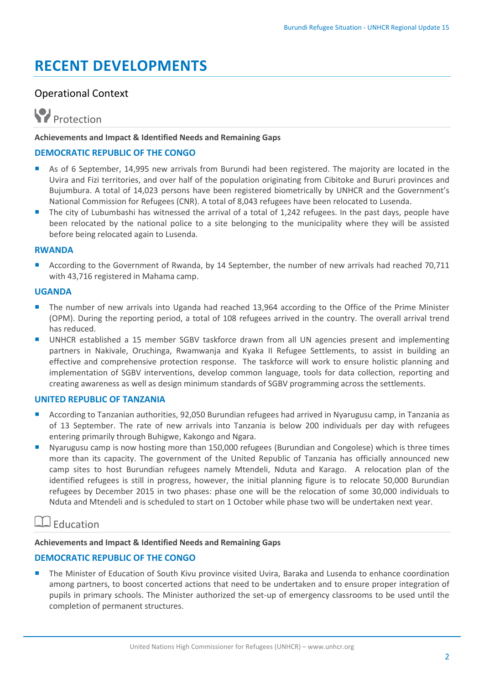# **RECENT DEVELOPMENTS**

### Operational Context



#### **Achievements and Impact & Identified Needs and Remaining Gaps**

#### **DEMOCRATIC REPUBLIC OF THE CONGO**

- As of 6 September, 14,995 new arrivals from Burundi had been registered. The majority are located in the Uvira and Fizi territories, and over half of the population originating from Cibitoke and Bururi provinces and Bujumbura. A total of 14,023 persons have been registered biometrically by UNHCR and the Government's National Commission for Refugees (CNR). A total of 8,043 refugees have been relocated to Lusenda.
- The city of Lubumbashi has witnessed the arrival of a total of 1,242 refugees. In the past days, people have been relocated by the national police to a site belonging to the municipality where they will be assisted before being relocated again to Lusenda.

#### **RWANDA**

 According to the Government of Rwanda, by 14 September, the number of new arrivals had reached 70,711 with 43,716 registered in Mahama camp.

#### **UGANDA**

- **The number of new arrivals into Uganda had reached 13,964 according to the Office of the Prime Minister** (OPM). During the reporting period, a total of 108 refugees arrived in the country. The overall arrival trend has reduced.
- UNHCR established a 15 member SGBV taskforce drawn from all UN agencies present and implementing partners in Nakivale, Oruchinga, Rwamwanja and Kyaka II Refugee Settlements, to assist in building an effective and comprehensive protection response. The taskforce will work to ensure holistic planning and implementation of SGBV interventions, develop common language, tools for data collection, reporting and creating awareness as well as design minimum standards of SGBV programming across the settlements.

#### **UNITED REPUBLIC OF TANZANIA**

- According to Tanzanian authorities, 92,050 Burundian refugees had arrived in Nyarugusu camp, in Tanzania as of 13 September. The rate of new arrivals into Tanzania is below 200 individuals per day with refugees entering primarily through Buhigwe, Kakongo and Ngara.
- **Nyarugusu camp is now hosting more than 150,000 refugees (Burundian and Congolese) which is three times** more than its capacity. The government of the United Republic of Tanzania has officially announced new camp sites to host Burundian refugees namely Mtendeli, Nduta and Karago. A relocation plan of the identified refugees is still in progress, however, the initial planning figure is to relocate 50,000 Burundian refugees by December 2015 in two phases: phase one will be the relocation of some 30,000 individuals to Nduta and Mtendeli and is scheduled to start on 1 October while phase two will be undertaken next year.

### Education

#### **Achievements and Impact & Identified Needs and Remaining Gaps**

#### **DEMOCRATIC REPUBLIC OF THE CONGO**

 The Minister of Education of South Kivu province visited Uvira, Baraka and Lusenda to enhance coordination among partners, to boost concerted actions that need to be undertaken and to ensure proper integration of pupils in primary schools. The Minister authorized the set-up of emergency classrooms to be used until the completion of permanent structures.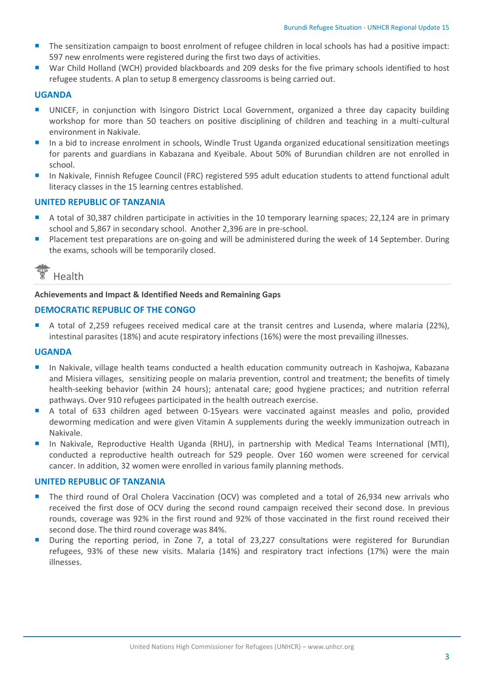- The sensitization campaign to boost enrolment of refugee children in local schools has had a positive impact: 597 new enrolments were registered during the first two days of activities.
- War Child Holland (WCH) provided blackboards and 209 desks for the five primary schools identified to host refugee students. A plan to setup 8 emergency classrooms is being carried out.

#### **UGANDA**

- UNICEF, in conjunction with Isingoro District Local Government, organized a three day capacity building workshop for more than 50 teachers on positive disciplining of children and teaching in a multi-cultural environment in Nakivale.
- **In a bid to increase enrolment in schools, Windle Trust Uganda organized educational sensitization meetings** for parents and guardians in Kabazana and Kyeibale. About 50% of Burundian children are not enrolled in school.
- In Nakivale, Finnish Refugee Council (FRC) registered 595 adult education students to attend functional adult literacy classes in the 15 learning centres established.

#### **UNITED REPUBLIC OF TANZANIA**

- A total of 30,387 children participate in activities in the 10 temporary learning spaces; 22,124 are in primary school and 5,867 in secondary school. Another 2,396 are in pre-school.
- **P** Placement test preparations are on-going and will be administered during the week of 14 September. During the exams, schools will be temporarily closed.



#### **Achievements and Impact & Identified Needs and Remaining Gaps**

#### **DEMOCRATIC REPUBLIC OF THE CONGO**

A total of 2,259 refugees received medical care at the transit centres and Lusenda, where malaria (22%), intestinal parasites (18%) and acute respiratory infections (16%) were the most prevailing illnesses.

#### **UGANDA**

- **In Nakivale, village health teams conducted a health education community outreach in Kashojwa, Kabazana** and Misiera villages, sensitizing people on malaria prevention, control and treatment; the benefits of timely health-seeking behavior (within 24 hours); antenatal care; good hygiene practices; and nutrition referral pathways. Over 910 refugees participated in the health outreach exercise.
- A total of 633 children aged between 0-15years were vaccinated against measles and polio, provided deworming medication and were given Vitamin A supplements during the weekly immunization outreach in Nakivale.
- In Nakivale, Reproductive Health Uganda (RHU), in partnership with Medical Teams International (MTI), conducted a reproductive health outreach for 529 people. Over 160 women were screened for cervical cancer. In addition, 32 women were enrolled in various family planning methods.

#### **UNITED REPUBLIC OF TANZANIA**

- The third round of Oral Cholera Vaccination (OCV) was completed and a total of 26,934 new arrivals who received the first dose of OCV during the second round campaign received their second dose. In previous rounds, coverage was 92% in the first round and 92% of those vaccinated in the first round received their second dose. The third round coverage was 84%.
- **During the reporting period, in Zone 7, a total of 23,227 consultations were registered for Burundian** refugees, 93% of these new visits. Malaria (14%) and respiratory tract infections (17%) were the main illnesses.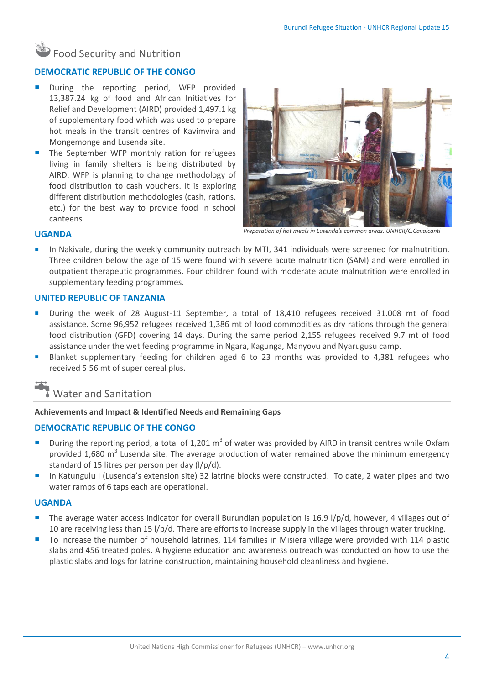# Food Security and Nutrition

#### **DEMOCRATIC REPUBLIC OF THE CONGO**

- During the reporting period, WFP provided 13,387.24 kg of food and African Initiatives for Relief and Development (AIRD) provided 1,497.1 kg of supplementary food which was used to prepare hot meals in the transit centres of Kavimvira and Mongemonge and Lusenda site.
- The September WFP monthly ration for refugees living in family shelters is being distributed by AIRD. WFP is planning to change methodology of food distribution to cash vouchers. It is exploring different distribution methodologies (cash, rations, etc.) for the best way to provide food in school canteens.



*Preparation of hot meals in Lusenda's common areas. UNHCR/C.Cavalcanti*

#### **UGANDA**

 In Nakivale, during the weekly community outreach by MTI, 341 individuals were screened for malnutrition. Three children below the age of 15 were found with severe acute malnutrition (SAM) and were enrolled in outpatient therapeutic programmes. Four children found with moderate acute malnutrition were enrolled in supplementary feeding programmes.

#### **UNITED REPUBLIC OF TANZANIA**

- During the week of 28 August-11 September, a total of 18,410 refugees received 31.008 mt of food assistance. Some 96,952 refugees received 1,386 mt of food commodities as dry rations through the general food distribution (GFD) covering 14 days. During the same period 2,155 refugees received 9.7 mt of food assistance under the wet feeding programme in Ngara, Kagunga, Manyovu and Nyarugusu camp.
- Blanket supplementary feeding for children aged 6 to 23 months was provided to 4,381 refugees who received 5.56 mt of super cereal plus.



#### **Achievements and Impact & Identified Needs and Remaining Gaps**

#### **DEMOCRATIC REPUBLIC OF THE CONGO**

- **During the reporting period, a total of 1,201 m<sup>3</sup> of water was provided by AIRD in transit centres while Oxfam** provided 1,680 m<sup>3</sup> Lusenda site. The average production of water remained above the minimum emergency standard of 15 litres per person per day (l/p/d).
- In Katungulu I (Lusenda's extension site) 32 latrine blocks were constructed. To date, 2 water pipes and two water ramps of 6 taps each are operational.

#### **UGANDA**

- The average water access indicator for overall Burundian population is 16.9  $1/p/d$ , however, 4 villages out of 10 are receiving less than 15 l/p/d. There are efforts to increase supply in the villages through water trucking.
- To increase the number of household latrines, 114 families in Misiera village were provided with 114 plastic slabs and 456 treated poles. A hygiene education and awareness outreach was conducted on how to use the plastic slabs and logs for latrine construction, maintaining household cleanliness and hygiene.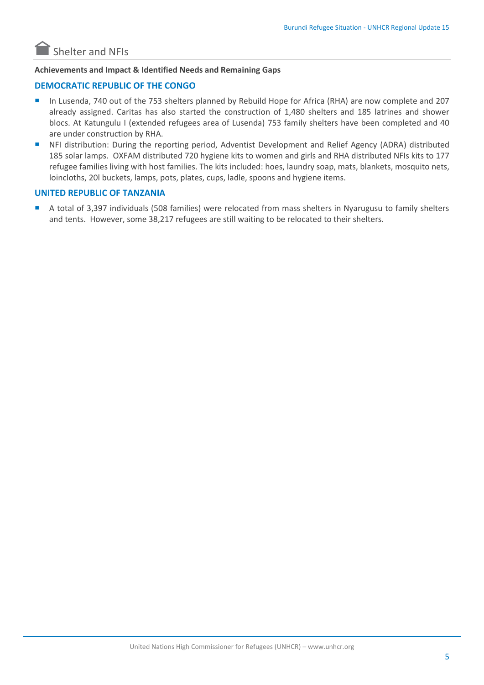

#### **Achievements and Impact & Identified Needs and Remaining Gaps**

#### **DEMOCRATIC REPUBLIC OF THE CONGO**

- In Lusenda, 740 out of the 753 shelters planned by Rebuild Hope for Africa (RHA) are now complete and 207 already assigned. Caritas has also started the construction of 1,480 shelters and 185 latrines and shower blocs. At Katungulu I (extended refugees area of Lusenda) 753 family shelters have been completed and 40 are under construction by RHA.
- NFI distribution: During the reporting period, Adventist Development and Relief Agency (ADRA) distributed 185 solar lamps. OXFAM distributed 720 hygiene kits to women and girls and RHA distributed NFIs kits to 177 refugee families living with host families. The kits included: hoes, laundry soap, mats, blankets, mosquito nets, loincloths, 20l buckets, lamps, pots, plates, cups, ladle, spoons and hygiene items.

#### **UNITED REPUBLIC OF TANZANIA**

 A total of 3,397 individuals (508 families) were relocated from mass shelters in Nyarugusu to family shelters and tents. However, some 38,217 refugees are still waiting to be relocated to their shelters.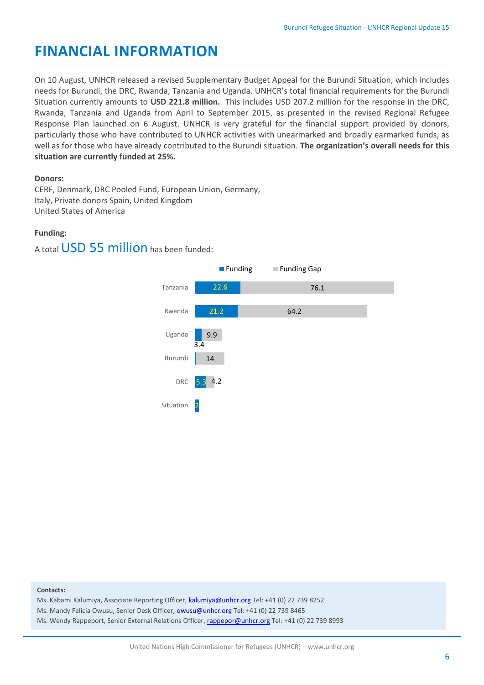# **FINANCIAL INFORMATION**

On 10 August, UNHCR released a revised Supplementary Budget Appeal for the Burundi Situation, which includes needs for Burundi, the DRC, Rwanda, Tanzania and Uganda. UNHCR's total financial requirements for the Burundi Situation currently amounts to **USD 221.8 million.** This includes USD 207.2 million for the response in the DRC, Rwanda, Tanzania and Uganda from April to September 2015, as presented in the revised Regional Refugee Response Plan launched on 6 August. UNHCR is very grateful for the financial support provided by donors, particularly those who have contributed to UNHCR activities with unearmarked and broadly earmarked funds, as well as for those who have already contributed to the Burundi situation. **The organization's overall needs for this situation are currently funded at 25%.**

#### **Donors:**

CERF, Denmark, DRC Pooled Fund, European Union, Germany, Italy, Private donors Spain, United Kingdom United States of America

#### **Funding:**

A total USD 55 million has been funded:



#### **Contacts:**

Ms. Kabami Kalumiya, Associate Reporting Officer, [kalumiya@unhcr.org](mailto:kalumiya@unhcr.org) Tel: +41 (0) 22 739 8252

Ms. Mandy Felicia Owusu, Senior Desk Officer[, owusu@unhcr.org](mailto:owusu@unhcr.org) Tel: +41 (0) 22 739 8465

Ms. Wendy Rappeport, Senior External Relations Officer[, rappepor@unhcr.org](mailto:rappepor@unhcr.org) Tel: +41 (0) 22 739 8993